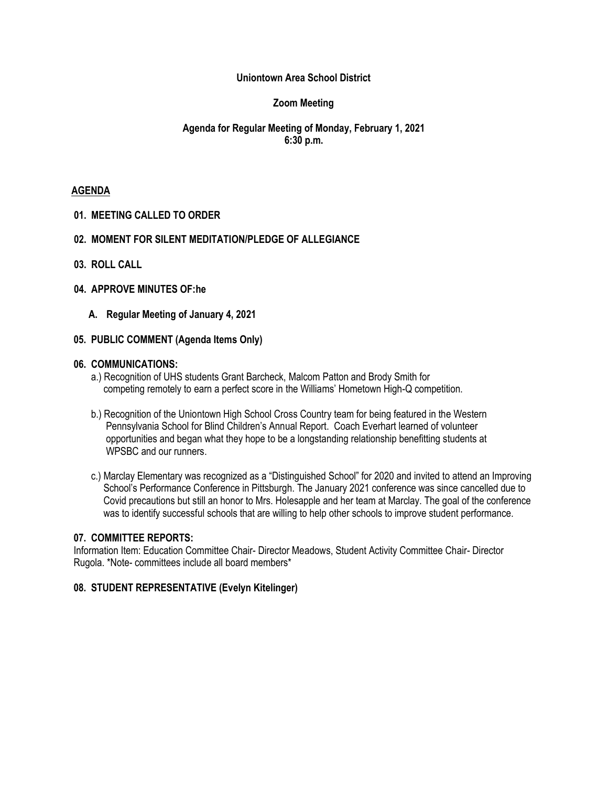## **Uniontown Area School District**

# **Zoom Meeting**

## **Agenda for Regular Meeting of Monday, February 1, 2021 6:30 p.m.**

#### **AGENDA**

**01. MEETING CALLED TO ORDER**

#### **02. MOMENT FOR SILENT MEDITATION/PLEDGE OF ALLEGIANCE**

**03. ROLL CALL**

#### **04. APPROVE MINUTES OF:he**

**A. Regular Meeting of January 4, 2021**

#### **05. PUBLIC COMMENT (Agenda Items Only)**

#### **06. COMMUNICATIONS:**

- a.) Recognition of UHS students Grant Barcheck, Malcom Patton and Brody Smith for competing remotely to earn a perfect score in the Williams' Hometown High-Q competition.
- b.) Recognition of the Uniontown High School Cross Country team for being featured in the Western Pennsylvania School for Blind Children's Annual Report. Coach Everhart learned of volunteer opportunities and began what they hope to be a longstanding relationship benefitting students at WPSBC and our runners.
- c.) Marclay Elementary was recognized as a "Distinguished School" for 2020 and invited to attend an Improving School's Performance Conference in Pittsburgh. The January 2021 conference was since cancelled due to Covid precautions but still an honor to Mrs. Holesapple and her team at Marclay. The goal of the conference was to identify successful schools that are willing to help other schools to improve student performance.

#### **07. COMMITTEE REPORTS:**

Information Item: Education Committee Chair- Director Meadows, Student Activity Committee Chair- Director Rugola. \*Note- committees include all board members\*

#### **08. STUDENT REPRESENTATIVE (Evelyn Kitelinger)**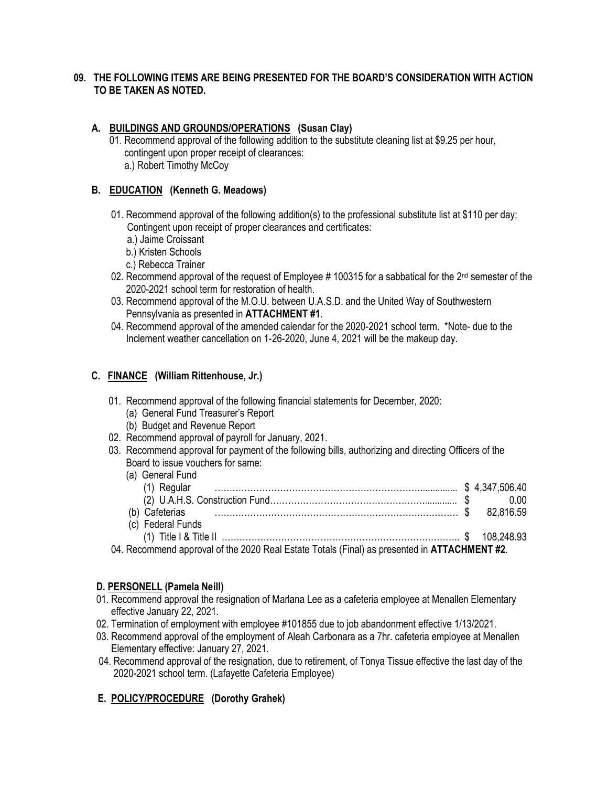## **09. THE FOLLOWING ITEMS ARE BEING PRESENTED FOR THE BOARD'S CONSIDERATION WITH ACTION TO BE TAKEN AS NOTED.**

# **A. BUILDINGS AND GROUNDS/OPERATIONS (Susan Clay)**

01. Recommend approval of the following addition to the substitute cleaning list at \$9.25 per hour, contingent upon proper receipt of clearances: a.) Robert Timothy McCoy

## **B. EDUCATION (Kenneth G. Meadows)**

- 01. Recommend approval of the following addition(s) to the professional substitute list at \$110 per day; Contingent upon receipt of proper clearances and certificates:
	- a.) Jaime Croissant
	- b.) Kristen Schools
	- c.) Rebecca Trainer
- 02. Recommend approval of the request of Employee # 100315 for a sabbatical for the 2<sup>nd</sup> semester of the 2020-2021 school term for restoration of health.
	- 03. Recommend approval of the M.O.U. between U.A.S.D. and the United Way of Southwestern Pennsylvania as presented in **ATTACHMENT #1**.
	- 04. Recommend approval of the amended calendar for the 2020-2021 school term. \*Note- due to the Inclement weather cancellation on 1-26-2020, June 4, 2021 will be the makeup day.

## **C. FINANCE (William Rittenhouse, Jr.)**

- 01. Recommend approval of the following financial statements for December, 2020:
	- (a) General Fund Treasurer's Report
	- (b) Budget and Revenue Report
- 02. Recommend approval of payroll for January, 2021.
- 03. Recommend approval for payment of the following bills, authorizing and directing Officers of the Board to issue vouchers for same:

| (a) General Fund                                                                           |  |      |
|--------------------------------------------------------------------------------------------|--|------|
|                                                                                            |  |      |
|                                                                                            |  | 0.00 |
| (b) Cafeterias 28.816.59                                                                   |  |      |
| (c) Federal Funds                                                                          |  |      |
|                                                                                            |  |      |
| 04. December opprovel of the 2020 Beel Estate Totals (Final) as presented in ATTACHMENT #2 |  |      |

04. Recommend approval of the 2020 Real Estate Totals (Final) as presented in **ATTACHMENT #2**.

### **D. PERSONELL (Pamela Neill)**

- 01. Recommend approval the resignation of Marlana Lee as a cafeteria employee at Menallen Elementary effective January 22, 2021.
- 02. Termination of employment with employee #101855 due to job abandonment effective 1/13/2021.
- 03. Recommend approval of the employment of Aleah Carbonara as a 7hr. cafeteria employee at Menallen Elementary effective: January 27, 2021.
- 04. Recommend approval of the resignation, due to retirement, of Tonya Tissue effective the last day of the 2020-2021 school term. (Lafayette Cafeteria Employee)

# **E. POLICY/PROCEDURE (Dorothy Grahek)**